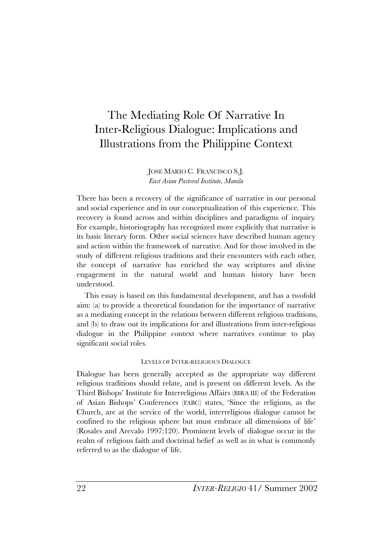# The Mediating Role Of Narrative In Inter-Religious Dialogue: Implications and Illustrations from the Philippine Context

JOSE MARIO C. FRANCISCO S.J. *East Asian Pastoral Institute, Manila*

There has been a recovery of the significance of narrative in our personal and social experience and in our conceptualization of this experience. This recovery is found across and within disciplines and paradigms of inquiry. For example, historiography has recognized more explicitly that narrative is its basic literary form. Other social sciences have described human agency and action within the framework of narrative. And for those involved in the study of different religious traditions and their encounters with each other, the concept of narrative has enriched the way scriptures and divine engagement in the natural world and human history have been understood.

This essay is based on this fundamental development, and has a twofold aim: (a) to provide a theoretical foundation for the importance of narrative as a mediating concept in the relations between different religious traditions, and (b) to draw out its implications for and illustrations from inter-religious dialogue in the Philippine context where narratives continue to play significant social roles.

### LEVELS OF INTER-RELIGIOUS DIALOGUE

Dialogue has been generally accepted as the appropriate way different religious traditions should relate, and is present on different levels. As the Third Bishops' Institute for Interreligious Affairs (BIRA III) of the Federation of Asian Bishops' Conferences (FABC) states, 'Since the religions, as the Church, are at the service of the world, interreligious dialogue cannot be confined to the religious sphere but must embrace all dimensions of life' (Rosales and Arevalo 1997:120). Prominent levels of dialogue occur in the realm of religious faith and doctrinal belief as well as in what is commonly referred to as the dialogue of life.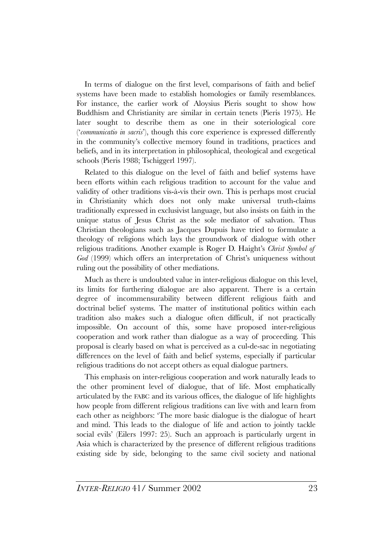In terms of dialogue on the first level, comparisons of faith and belief systems have been made to establish homologies or family resemblances. For instance, the earlier work of Aloysius Pieris sought to show how Buddhism and Christianity are similar in certain tenets (Pieris 1975). He later sought to describe them as one in their soteriological core ('*communicatio in sacris*'), though this core experience is expressed differently in the community's collective memory found in traditions, practices and beliefs, and in its interpretation in philosophical, theological and exegetical schools (Pieris 1988; Tschiggerl 1997).

Related to this dialogue on the level of faith and belief systems have been efforts within each religious tradition to account for the value and validity of other traditions vis-à-vis their own. This is perhaps most crucial in Christianity which does not only make universal truth-claims traditionally expressed in exclusivist language, but also insists on faith in the unique status of Jesus Christ as the sole mediator of salvation. Thus Christian theologians such as Jacques Dupuis have tried to formulate a theology of religions which lays the groundwork of dialogue with other religious traditions. Another example is Roger D. Haight's *Christ Symbol of God* (1999) which offers an interpretation of Christ's uniqueness without ruling out the possibility of other mediations.

Much as there is undoubted value in inter-religious dialogue on this level, its limits for furthering dialogue are also apparent. There is a certain degree of incommensurability between different religious faith and doctrinal belief systems. The matter of institutional politics within each tradition also makes such a dialogue often difficult, if not practically impossible. On account of this, some have proposed inter-religious cooperation and work rather than dialogue as a way of proceeding. This proposal is clearly based on what is perceived as a cul-de-sac in negotiating differences on the level of faith and belief systems, especially if particular religious traditions do not accept others as equal dialogue partners.

This emphasis on inter-religious cooperation and work naturally leads to the other prominent level of dialogue, that of life. Most emphatically articulated by the FABC and its various offices, the dialogue of life highlights how people from different religious traditions can live with and learn from each other as neighbors: 'The more basic dialogue is the dialogue of heart and mind. This leads to the dialogue of life and action to jointly tackle social evils' (Eilers 1997: 25). Such an approach is particularly urgent in Asia which is characterized by the presence of different religious traditions existing side by side, belonging to the same civil society and national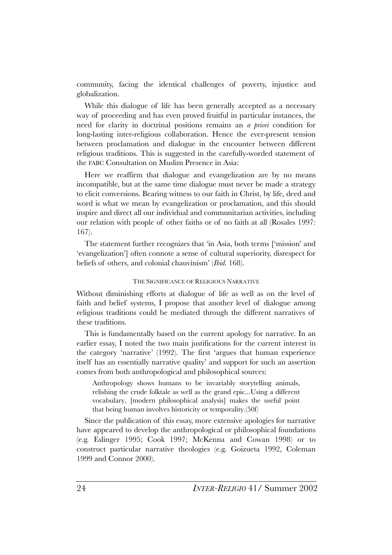community, facing the identical challenges of poverty, injustice and globalization.

While this dialogue of life has been generally accepted as a necessary way of proceeding and has even proved fruitful in particular instances, the need for clarity in doctrinal positions remains an *a priori* condition for long-lasting inter-religious collaboration. Hence the ever-present tension between proclamation and dialogue in the encounter between different religious traditions. This is suggested in the carefully-worded statement of the FABC Consultation on Muslim Presence in Asia:

Here we reaffirm that dialogue and evangelization are by no means incompatible, but at the same time dialogue must never be made a strategy to elicit conversions. Bearing witness to our faith in Christ, by life, deed and word is what we mean by evangelization or proclamation, and this should inspire and direct all our individual and communitarian activities, including our relation with people of other faiths or of no faith at all (Rosales 1997: 167).

The statement further recognizes that 'in Asia, both terms ['mission' and 'evangelization'] often connote a sense of cultural superiority, disrespect for beliefs of others, and colonial chauvinism' (*Ibid.* 168).

### THE SIGNIFICANCE OF RELIGIOUS NARRATIVE

Without diminishing efforts at dialogue of life as well as on the level of faith and belief systems, I propose that another level of dialogue among religious traditions could be mediated through the different narratives of these traditions.

This is fundamentally based on the current apology for narrative. In an earlier essay, I noted the two main justifications for the current interest in the category 'narrative' (1992). The first 'argues that human experience itself has an essentially narrative quality' and support for such an assertion comes from both anthropological and philosophical sources:

Anthropology shows humans to be invariably storytelling animals, relishing the crude folktale as well as the grand epic...Using a different vocabulary, [modern philosophical analysis] makes the useful point that being human involves historicity or temporality.(50f)

Since the publication of this essay, more extensive apologies for narrative have appeared to develop the anthropological or philosophical foundations (e.g. Eslinger 1995; Cook 1997; McKenna and Cowan 1998) or to construct particular narrative theologies (e.g. Goizueta 1992, Coleman 1999 and Connor 2000).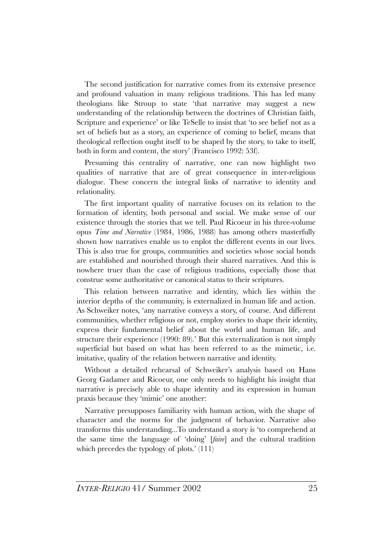The second justification for narrative comes from its extensive presence and profound valuation in many religious traditions. This has led many theologians like Stroup to state 'that narrative may suggest a new understanding of the relationship between the doctrines of Christian faith, Scripture and experience' or like TeSelle to insist that 'to see belief not as a set of beliefs but as a story, an experience of coming to belief, means that theological reflection ought itself to be shaped by the story, to take to itself, both in form and content, the story' (Francisco 1992: 53f).

Presuming this centrality of narrative, one can now highlight two qualities of narrative that are of great consequence in inter-religious dialogue. These concern the integral links of narrative to identity and relationality.

The first important quality of narrative focuses on its relation to the formation of identity, both personal and social. We make sense of our existence through the stories that we tell. Paul Ricoeur in his three-volume opus *Time and Narrative* (1984, 1986, 1988) has among others masterfully shown how narratives enable us to enplot the different events in our lives. This is also true for groups, communities and societies whose social bonds are established and nourished through their shared narratives. And this is nowhere truer than the case of religious traditions, especially those that construe some authoritative or canonical status to their scriptures.

This relation between narrative and identity, which lies within the interior depths of the community, is externalized in human life and action. As Schweiker notes, 'any narrative conveys a story, of course. And different communities, whether religious or not, employ stories to shape their identity, express their fundamental belief about the world and human life, and structure their experience (1990: 89).' But this externalization is not simply superficial but based on what has been referred to as the mimetic, i.e. imitative, quality of the relation between narrative and identity.

Without a detailed rehearsal of Schweiker's analysis based on Hans Georg Gadamer and Ricoeur, one only needs to highlight his insight that narrative is precisely able to shape identity and its expression in human praxis because they 'mimic' one another:

Narrative presupposes familiarity with human action, with the shape of character and the norms for the judgment of behavior. Narrative also transforms this understanding...To understand a story is 'to comprehend at the same time the language of 'doing' [*faire*] and the cultural tradition which precedes the typology of plots.' (111)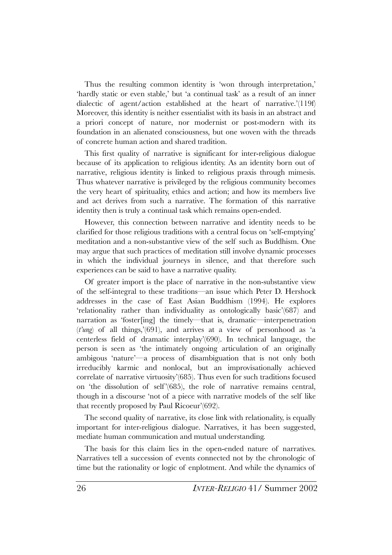Thus the resulting common identity is 'won through interpretation,' 'hardly static or even stable,' but 'a continual task' as a result of an inner dialectic of agent/action established at the heart of narrative.'(119f) Moreover, this identity is neither essentialist with its basis in an abstract and a priori concept of nature, nor modernist or post-modern with its foundation in an alienated consciousness, but one woven with the threads of concrete human action and shared tradition.

This first quality of narrative is significant for inter-religious dialogue because of its application to religious identity. As an identity born out of narrative, religious identity is linked to religious praxis through mimesis. Thus whatever narrative is privileged by the religious community becomes the very heart of spirituality, ethics and action; and how its members live and act derives from such a narrative. The formation of this narrative identity then is truly a continual task which remains open-ended.

However, this connection between narrative and identity needs to be clarified for those religious traditions with a central focus on 'self-emptying' meditation and a non-substantive view of the self such as Buddhism. One may argue that such practices of meditation still involve dynamic processes in which the individual journeys in silence, and that therefore such experiences can be said to have a narrative quality.

Of greater import is the place of narrative in the non-substantive view of the self-integral to these traditions—an issue which Peter D. Hershock addresses in the case of East Asian Buddhism (1994). He explores 'relationality rather than individuality as ontologically basic'(687) and narration as 'foster[ing] the timely—that is, dramatic—interpenetration (*t'ung*) of all things,'(691), and arrives at a view of personhood as 'a centerless field of dramatic interplay'(690). In technical language, the person is seen as 'the intimately ongoing articulation of an originally ambigous 'nature'—a process of disambiguation that is not only both irreducibly karmic and nonlocal, but an improvisationally achieved correlate of narrative virtuosity'(685). Thus even for such traditions focused on 'the dissolution of self '(685), the role of narrative remains central, though in a discourse 'not of a piece with narrative models of the self like that recently proposed by Paul Ricoeur'(692).

The second quality of narrative, its close link with relationality, is equally important for inter-religious dialogue. Narratives, it has been suggested, mediate human communication and mutual understanding.

The basis for this claim lies in the open-ended nature of narratives. Narratives tell a succession of events connected not by the chronologic of time but the rationality or logic of enplotment. And while the dynamics of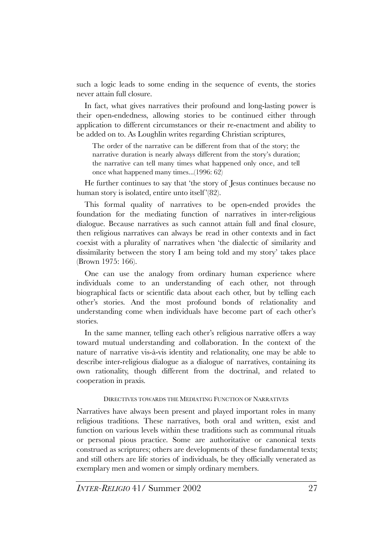such a logic leads to some ending in the sequence of events, the stories never attain full closure.

In fact, what gives narratives their profound and long-lasting power is their open-endedness, allowing stories to be continued either through application to different circumstances or their re-enactment and ability to be added on to. As Loughlin writes regarding Christian scriptures,

The order of the narrative can be different from that of the story; the narrative duration is nearly always different from the story's duration; the narrative can tell many times what happened only once, and tell once what happened many times...(1996: 62)

He further continues to say that 'the story of Jesus continues because no human story is isolated, entire unto itself'(82).

This formal quality of narratives to be open-ended provides the foundation for the mediating function of narratives in inter-religious dialogue. Because narratives as such cannot attain full and final closure, then religious narratives can always be read in other contexts and in fact coexist with a plurality of narratives when 'the dialectic of similarity and dissimilarity between the story I am being told and my story' takes place (Brown 1975: 166).

One can use the analogy from ordinary human experience where individuals come to an understanding of each other, not through biographical facts or scientific data about each other, but by telling each other's stories. And the most profound bonds of relationality and understanding come when individuals have become part of each other's stories.

In the same manner, telling each other's religious narrative offers a way toward mutual understanding and collaboration. In the context of the nature of narrative vis-à-vis identity and relationality, one may be able to describe inter-religious dialogue as a dialogue of narratives, containing its own rationality, though different from the doctrinal, and related to cooperation in praxis.

# DIRECTIVES TOWARDS THE MEDIATING FUNCTION OF NARRATIVES

Narratives have always been present and played important roles in many religious traditions. These narratives, both oral and written, exist and function on various levels within these traditions such as communal rituals or personal pious practice. Some are authoritative or canonical texts construed as scriptures; others are developments of these fundamental texts; and still others are life stories of individuals, be they officially venerated as exemplary men and women or simply ordinary members.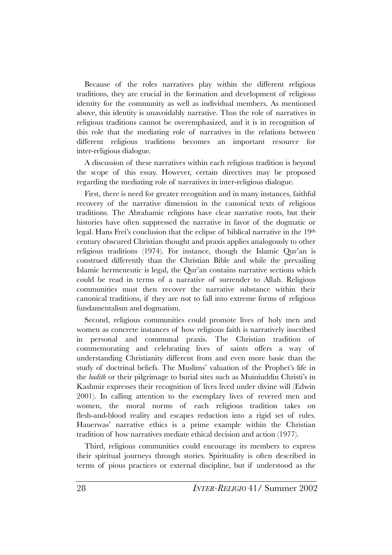Because of the roles narratives play within the different religious traditions, they are crucial in the formation and development of religious identity for the community as well as individual members. As mentioned above, this identity is unavoidably narrative. Thus the role of narratives in religious traditions cannot be overemphasized, and it is in recognition of this role that the mediating role of narratives in the relations between different religious traditions becomes an important resource for inter-religious dialogue.

A discussion of these narratives within each religious tradition is beyond the scope of this essay. However, certain directives may be proposed regarding the mediating role of narratives in inter-religious dialogue.

First, there is need for greater recognition and in many instances, faithful recovery of the narrative dimension in the canonical texts of religious traditions. The Abrahamic religions have clear narrative roots, but their histories have often suppressed the narrative in favor of the dogmatic or legal. Hans Frei's conclusion that the eclipse of biblical narrative in the 19th century obscured Christian thought and praxis applies analogously to other religious traditions (1974). For instance, though the Islamic Qur'an is construed differently than the Christian Bible and while the prevailing Islamic hermeneutic is legal, the Qur'an contains narrative sections which could be read in terms of a narrative of surrender to Allah. Religious communities must then recover the narrative substance within their canonical traditions, if they are not to fall into extreme forms of religious fundamentalism and dogmatism.

Second, religious communities could promote lives of holy men and women as concrete instances of how religious faith is narratively inscribed in personal and communal praxis. The Christian tradition commemorating and celebrating lives of saints offers a way of understanding Christianity different from and even more basic than the study of doctrinal beliefs. The Muslims' valuation of the Prophet's life in the *hadith* or their pilgrimage to burial sites such as Muiniuddin Christi's in Kashmir expresses their recognition of lives lived under divine will (Edwin 2001). In calling attention to the exemplary lives of revered men and women, the moral norms of each religious tradition takes on flesh-and-blood reality and escapes reduction into a rigid set of rules. Hauerwas' narrative ethics is a prime example within the Christian tradition of how narratives mediate ethical decision and action (1977).

Third, religious communities could encourage its members to express their spiritual journeys through stories. Spirituality is often described in terms of pious practices or external discipline, but if understood as the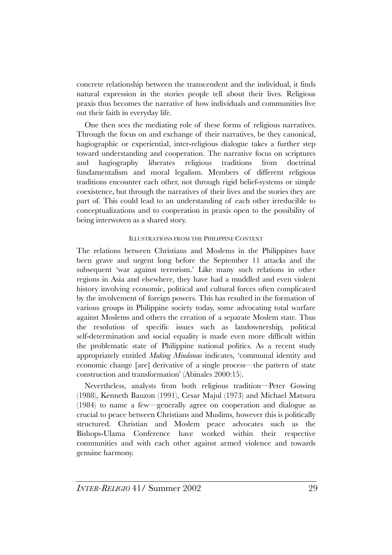concrete relationship between the transcendent and the individual, it finds natural expression in the stories people tell about their lives. Religious praxis thus becomes the narrative of how individuals and communities live out their faith in everyday life.

One then sees the mediating role of these forms of religious narratives. Through the focus on and exchange of their narratives, be they canonical, hagiographic or experiential, inter-religious dialogue takes a further step toward understanding and cooperation. The narrative focus on scriptures and hagiography liberates religious traditions from doctrinal fundamentalism and moral legalism. Members of different religious traditions encounter each other, not through rigid belief-systems or simple coexistence, but through the narratives of their lives and the stories they are part of. This could lead to an understanding of each other irreducible to conceptualizations and to cooperation in praxis open to the possibility of being interwoven as a shared story.

# ILLUSTRATIONS FROM THE PHILIPPINE CONTEXT

The relations between Christians and Moslems in the Philippines have been grave and urgent long before the September 11 attacks and the subsequent 'war against terrorism.' Like many such relations in other regions in Asia and elsewhere, they have had a muddled and even violent history involving economic, political and cultural forces often complicated by the involvement of foreign powers. This has resulted in the formation of various groups in Philippine society today, some advocating total warfare against Moslems and others the creation of a separate Moslem state. Thus the resolution of specific issues such as landownership, political self-determination and social equality is made even more difficult within the problematic state of Philippine national politics. As a recent study appropriately entitled *Making Mindanao* indicates, 'communal identity and economic change [are] derivative of a single process—the pattern of state construction and transformation' (Abinales 2000:15).

Nevertheless, analysts from both religious tradition—Peter Gowing (1988), Kenneth Bauzon (1991), Cesar Majul (1973) and Michael Matsura (1984) to name a few—generally agree on cooperation and dialogue as crucial to peace between Christians and Muslims, however this is politically structured. Christian and Moslem peace advocates such as the Bishops-Ulama Conference have worked within their respective communities and with each other against armed violence and towards genuine harmony.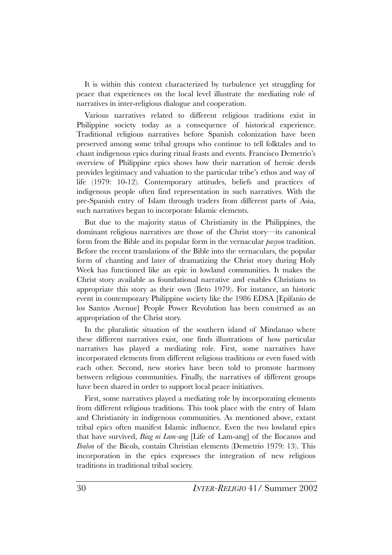It is within this context characterized by turbulence yet struggling for peace that experiences on the local level illustrate the mediating role of narratives in inter-religious dialogue and cooperation.

Various narratives related to different religious traditions exist in Philippine society today as a consequence of historical experience. Traditional religious narratives before Spanish colonization have been preserved among some tribal groups who continue to tell folktales and to chant indigenous epics during ritual feasts and events. Francisco Demetrio's overview of Philippine epics shows how their narration of heroic deeds provides legitimacy and valuation to the particular tribe's ethos and way of life (1979: 10-12). Contemporary attitudes, beliefs and practices of indigenous people often find representation in such narratives. With the pre-Spanish entry of Islam through traders from different parts of Asia, such narratives began to incorporate Islamic elements.

But due to the majority status of Christianity in the Philippines, the dominant religious narratives are those of the Christ story—its canonical form from the Bible and its popular form in the vernacular *pasyon* tradition. Before the recent translations of the Bible into the vernaculars, the popular form of chanting and later of dramatizing the Christ story during Holy Week has functioned like an epic in lowland communities. It makes the Christ story available as foundational narrative and enables Christians to appropriate this story as their own (Ileto 1979). For instance, an historic event in contemporary Philippine society like the 1986 EDSA [Epifanio de los Santos Avenue] People Power Revolution has been construed as an appropriation of the Christ story.

In the pluralistic situation of the southern island of Mindanao where these different narratives exist, one finds illustrations of how particular narratives has played a mediating role. First, some narratives have incorporated elements from different religious traditions or even fused with each other. Second, new stories have been told to promote harmony between religious communities. Finally, the narratives of different groups have been shared in order to support local peace initiatives.

First, some narratives played a mediating role by incorporating elements from different religious traditions. This took place with the entry of Islam and Christianity in indigenous communities. As mentioned above, extant tribal epics often manifest Islamic influence. Even the two lowland epics that have survived, *Biag ni Lam-ang* [Life of Lam-ang] of the Ilocanos and *Ibalon* of the Bicols, contain Christian elements (Demetrio 1979: 13). This incorporation in the epics expresses the integration of new religious traditions in traditional tribal society.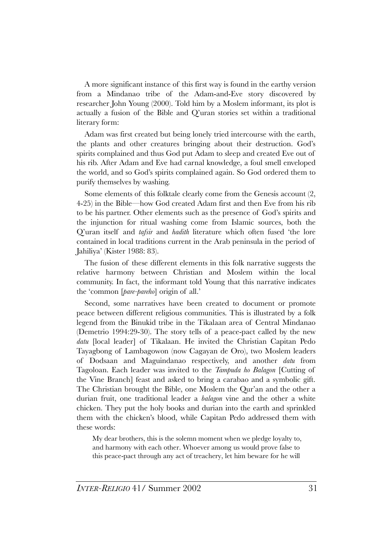A more significant instance of this first way is found in the earthy version from a Mindanao tribe of the Adam-and-Eve story discovered by researcher John Young (2000). Told him by a Moslem informant, its plot is actually a fusion of the Bible and Q'uran stories set within a traditional literary form:

Adam was first created but being lonely tried intercourse with the earth, the plants and other creatures bringing about their destruction. God's spirits complained and thus God put Adam to sleep and created Eve out of his rib. After Adam and Eve had carnal knowledge, a foul smell enveloped the world, and so God's spirits complained again. So God ordered them to purify themselves by washing.

Some elements of this folktale clearly come from the Genesis account (2, 4-25) in the Bible—how God created Adam first and then Eve from his rib to be his partner. Other elements such as the presence of God's spirits and the injunction for ritual washing come from Islamic sources, both the Q'uran itself and *tafsir* and *hadith* literature which often fused 'the lore contained in local traditions current in the Arab peninsula in the period of Jahiliya' (Kister 1988: 83).

The fusion of these different elements in this folk narrative suggests the relative harmony between Christian and Moslem within the local community. In fact, the informant told Young that this narrative indicates the 'common [*pare-pareho*] origin of all.'

Second, some narratives have been created to document or promote peace between different religious communities. This is illustrated by a folk legend from the Binukid tribe in the Tikalaan area of Central Mindanao (Demetrio 1994:29-30). The story tells of a peace-pact called by the new *datu* [local leader] of Tikalaan. He invited the Christian Capitan Pedo Tayagbong of Lambagowon (now Cagayan de Oro), two Moslem leaders of Dodsaan and Maguindanao respectively, and another *datu* from Tagoloan. Each leader was invited to the *Tampuda ho Balagon* [Cutting of the Vine Branch] feast and asked to bring a carabao and a symbolic gift. The Christian brought the Bible, one Moslem the Qur'an and the other a durian fruit, one traditional leader a *balagon* vine and the other a white chicken. They put the holy books and durian into the earth and sprinkled them with the chicken's blood, while Capitan Pedo addressed them with these words:

My dear brothers, this is the solemn moment when we pledge loyalty to, and harmony with each other. Whoever among us would prove false to this peace-pact through any act of treachery, let him beware for he will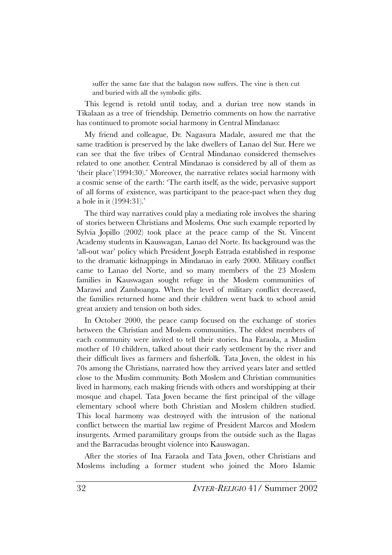suffer the same fate that the balagon now suffers. The vine is then cut and buried with all the symbolic gifts.

This legend is retold until today, and a durian tree now stands in Tikalaan as a tree of friendship. Demetrio comments on how the narrative has continued to promote social harmony in Central Mindanao:

My friend and colleague, Dr. Nagasura Madale, assured me that the same tradition is preserved by the lake dwellers of Lanao del Sur. Here we can see that the five tribes of Central Mindanao considered themselves related to one another. Central Mindanao is considered by all of them as 'their place'(1994:30).' Moreover, the narrative relates social harmony with a cosmic sense of the earth: 'The earth itself, as the wide, pervasive support of all forms of existence, was participant to the peace-pact when they dug a hole in it (1994:31).'

The third way narratives could play a mediating role involves the sharing of stories between Christians and Moslems. One such example reported by Sylvia Jopillo (2002) took place at the peace camp of the St. Vincent Academy students in Kauswagan, Lanao del Norte. Its background was the 'all-out war' policy which President Joseph Estrada established in response to the dramatic kidnappings in Mindanao in early 2000. Military conflict came to Lanao del Norte, and so many members of the 23 Moslem families in Kauswagan sought refuge in the Moslem communities of Marawi and Zamboanga. When the level of military conflict decreased, the families returned home and their children went back to school amid great anxiety and tension on both sides.

In October 2000, the peace camp focused on the exchange of stories between the Christian and Moslem communities. The oldest members of each community were invited to tell their stories. Ina Faraola, a Muslim mother of 10 children, talked about their early settlement by the river and their difficult lives as farmers and fisherfolk. Tata Joven, the oldest in his 70s among the Christians, narrated how they arrived years later and settled close to the Muslim community. Both Moslem and Christian communities lived in harmony, each making friends with others and worshipping at their mosque and chapel. Tata Joven became the first principal of the village elementary school where both Christian and Moslem children studied. This local harmony was destroyed with the intrusion of the national conflict between the martial law regime of President Marcos and Moslem insurgents. Armed paramilitary groups from the outside such as the Ilagas and the Barracudas brought violence into Kauswagan.

After the stories of Ina Faraola and Tata Joven, other Christians and Moslems including a former student who joined the Moro Islamic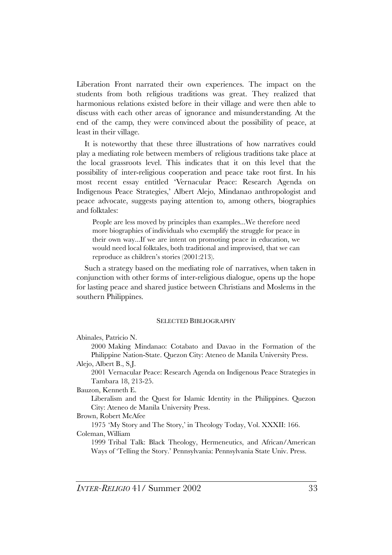Liberation Front narrated their own experiences. The impact on the students from both religious traditions was great. They realized that harmonious relations existed before in their village and were then able to discuss with each other areas of ignorance and misunderstanding. At the end of the camp, they were convinced about the possibility of peace, at least in their village.

It is noteworthy that these three illustrations of how narratives could play a mediating role between members of religious traditions take place at the local grassroots level. This indicates that it on this level that the possibility of inter-religious cooperation and peace take root first. In his most recent essay entitled 'Vernacular Peace: Research Agenda on Indigenous Peace Strategies,' Albert Alejo, Mindanao anthropologist and peace advocate, suggests paying attention to, among others, biographies and folktales:

People are less moved by principles than examples...We therefore need more biographies of individuals who exemplify the struggle for peace in their own way...If we are intent on promoting peace in education, we would need local folktales, both traditional and improvised, that we can reproduce as children's stories (2001:213).

Such a strategy based on the mediating role of narratives, when taken in conjunction with other forms of inter-religious dialogue, opens up the hope for lasting peace and shared justice between Christians and Moslems in the southern Philippines.

#### SELECTED BIBLIOGRAPHY

Abinales, Patricio N.

2000 Making Mindanao: Cotabato and Davao in the Formation of the Philippine Nation-State. Quezon City: Ateneo de Manila University Press.

Alejo, Albert B., S.J.

2001 Vernacular Peace: Research Agenda on Indigenous Peace Strategies in Tambara 18, 213-25.

Bauzon, Kenneth E.

Liberalism and the Quest for Islamic Identity in the Philippines. Quezon City: Ateneo de Manila University Press.

Brown, Robert McAfee

1975 'My Story and The Story,' in Theology Today, Vol. XXXII: 166. Coleman, William

1999 Tribal Talk: Black Theology, Hermeneutics, and African/American Ways of 'Telling the Story.' Pennsylvania: Pennsylvania State Univ. Press.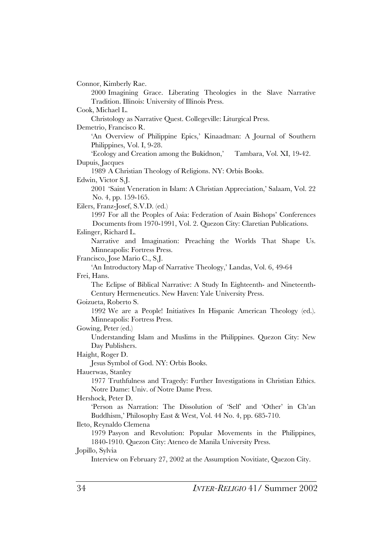Connor, Kimberly Rae. 2000 Imagining Grace. Liberating Theologies in the Slave Narrative Tradition. Illinois: University of Illinois Press. Cook, Michael L. Christology as Narrative Quest. Collegeville: Liturgical Press. Demetrio, Francisco R. 'An Overview of Philippine Epics,' Kinaadman: A Journal of Southern Philippines, Vol. I, 9-28. 'Ecology and Creation among the Bukidnon,' Tambara, Vol. XI, 19-42. Dupuis, Jacques 1989 A Christian Theology of Religions. NY: Orbis Books. Edwin, Victor S.J. 2001 'Saint Veneration in Islam: A Christian Appreciation,' Salaam, Vol. 22 No. 4, pp. 159-165. Eilers, Franz-Josef, S.V.D. (ed.) 1997 For all the Peoples of Asia: Federation of Asain Bishops' Conferences Documents from 1970-1991, Vol. 2. Quezon City: Claretian Publications. Eslinger, Richard L. Narrative and Imagination: Preaching the Worlds That Shape Us. Minneapolis: Fortress Press. Francisco, Jose Mario C., S.J. 'An Introductory Map of Narrative Theology,' Landas, Vol. 6, 49-64 Frei, Hans. The Eclipse of Biblical Narrative: A Study In Eighteenth- and Nineteenth-Century Hermeneutics. New Haven: Yale University Press. Goizueta, Roberto S. 1992 We are a People! Initiatives In Hispanic American Theology (ed.). Minneapolis: Fortress Press. Gowing, Peter (ed.) Understanding Islam and Muslims in the Philippines. Quezon City: New Day Publishers. Haight, Roger D. Jesus Symbol of God. NY: Orbis Books. Hauerwas, Stanley 1977 Truthfulness and Tragedy: Further Investigations in Christian Ethics. Notre Dame: Univ. of Notre Dame Press. Hershock, Peter D. 'Person as Narration: The Dissolution of 'Self' and 'Other' in Ch'an Buddhism,' Philosophy East & West, Vol. 44 No. 4, pp. 685-710. Ileto, Reynaldo Clemena 1979 Pasyon and Revolution: Popular Movements in the Philippines, 1840-1910. Quezon City: Ateneo de Manila University Press. Jopillo, Sylvia Interview on February 27, 2002 at the Assumption Novitiate, Quezon City.